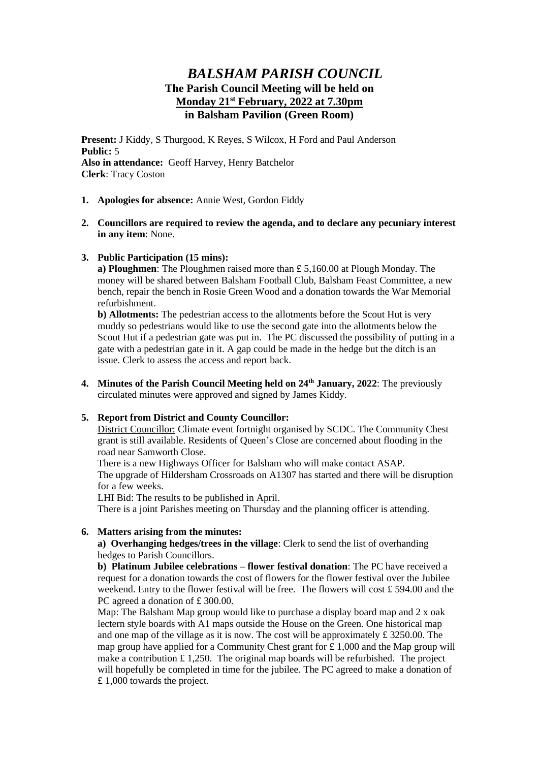# *BALSHAM PARISH COUNCIL* **The Parish Council Meeting will be held on Monday 21st February, 2022 at 7.30pm in Balsham Pavilion (Green Room)**

**Present:** J Kiddy, S Thurgood, K Reyes, S Wilcox, H Ford and Paul Anderson **Public:** 5 **Also in attendance:** Geoff Harvey, Henry Batchelor **Clerk**: Tracy Coston

- **1. Apologies for absence:** Annie West, Gordon Fiddy
- **2. Councillors are required to review the agenda, and to declare any pecuniary interest in any item**: None.
- **3. Public Participation (15 mins):**

**a) Ploughmen**: The Ploughmen raised more than £ 5,160.00 at Plough Monday. The money will be shared between Balsham Football Club, Balsham Feast Committee, a new bench, repair the bench in Rosie Green Wood and a donation towards the War Memorial refurbishment.

**b) Allotments:** The pedestrian access to the allotments before the Scout Hut is very muddy so pedestrians would like to use the second gate into the allotments below the Scout Hut if a pedestrian gate was put in. The PC discussed the possibility of putting in a gate with a pedestrian gate in it. A gap could be made in the hedge but the ditch is an issue. Clerk to assess the access and report back.

**4. Minutes of the Parish Council Meeting held on 24th January, 2022**: The previously circulated minutes were approved and signed by James Kiddy.

#### **5. Report from District and County Councillor:**

District Councillor: Climate event fortnight organised by SCDC. The Community Chest grant is still available. Residents of Queen's Close are concerned about flooding in the road near Samworth Close.

There is a new Highways Officer for Balsham who will make contact ASAP. The upgrade of Hildersham Crossroads on A1307 has started and there will be disruption for a few weeks.

LHI Bid: The results to be published in April.

There is a joint Parishes meeting on Thursday and the planning officer is attending.

#### **6. Matters arising from the minutes:**

**a) Overhanging hedges/trees in the village**: Clerk to send the list of overhanding hedges to Parish Councillors.

**b) Platinum Jubilee celebrations – flower festival donation**: The PC have received a request for a donation towards the cost of flowers for the flower festival over the Jubilee weekend. Entry to the flower festival will be free. The flowers will cost £ 594.00 and the PC agreed a donation of £300.00.

Map: The Balsham Map group would like to purchase a display board map and  $2 \times$  oak lectern style boards with A1 maps outside the House on the Green. One historical map and one map of the village as it is now. The cost will be approximately £ 3250.00. The map group have applied for a Community Chest grant for £ 1,000 and the Map group will make a contribution  $\pounds$  1,250. The original map boards will be refurbished. The project will hopefully be completed in time for the jubilee. The PC agreed to make a donation of £ 1,000 towards the project.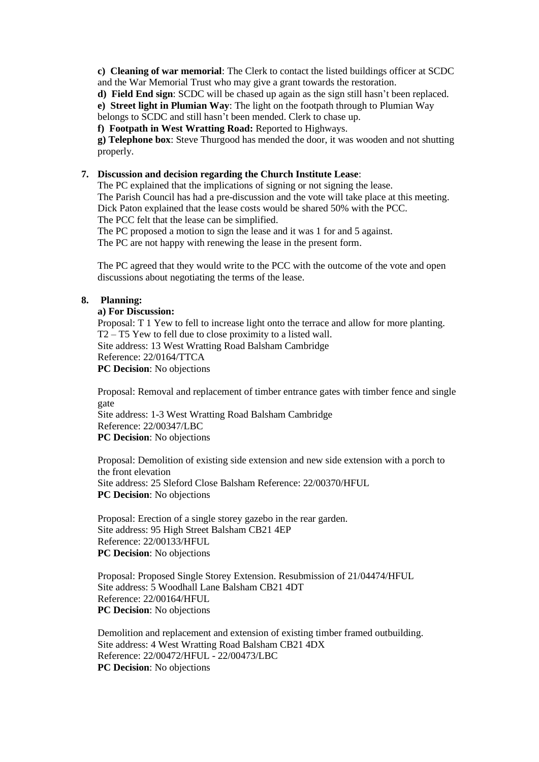**c) Cleaning of war memorial**: The Clerk to contact the listed buildings officer at SCDC and the War Memorial Trust who may give a grant towards the restoration.

**d) Field End sign**: SCDC will be chased up again as the sign still hasn't been replaced.

**e) Street light in Plumian Way**: The light on the footpath through to Plumian Way

belongs to SCDC and still hasn't been mended. Clerk to chase up.

**f) Footpath in West Wratting Road:** Reported to Highways.

**g) Telephone box**: Steve Thurgood has mended the door, it was wooden and not shutting properly.

## **7. Discussion and decision regarding the Church Institute Lease**:

The PC explained that the implications of signing or not signing the lease. The Parish Council has had a pre-discussion and the vote will take place at this meeting. Dick Paton explained that the lease costs would be shared 50% with the PCC. The PCC felt that the lease can be simplified.

The PC proposed a motion to sign the lease and it was 1 for and 5 against.

The PC are not happy with renewing the lease in the present form.

The PC agreed that they would write to the PCC with the outcome of the vote and open discussions about negotiating the terms of the lease.

#### **8. Planning:**

#### **a) For Discussion:**

Proposal: T 1 Yew to fell to increase light onto the terrace and allow for more planting. T2 – T5 Yew to fell due to close proximity to a listed wall. Site address: 13 West Wratting Road Balsham Cambridge Reference: 22/0164/TTCA **PC Decision**: No objections

Proposal: Removal and replacement of timber entrance gates with timber fence and single gate Site address: 1-3 West Wratting Road Balsham Cambridge Reference: 22/00347/LBC

**PC Decision**: No objections

Proposal: Demolition of existing side extension and new side extension with a porch to the front elevation Site address: 25 Sleford Close Balsham Reference: 22/00370/HFUL **PC Decision**: No objections

Proposal: Erection of a single storey gazebo in the rear garden. Site address: 95 High Street Balsham CB21 4EP Reference: 22/00133/HFUL **PC Decision**: No objections

Proposal: Proposed Single Storey Extension. Resubmission of 21/04474/HFUL Site address: 5 Woodhall Lane Balsham CB21 4DT Reference: 22/00164/HFUL **PC Decision**: No objections

Demolition and replacement and extension of existing timber framed outbuilding. Site address: 4 West Wratting Road Balsham CB21 4DX Reference: 22/00472/HFUL - 22/00473/LBC **PC Decision**: No objections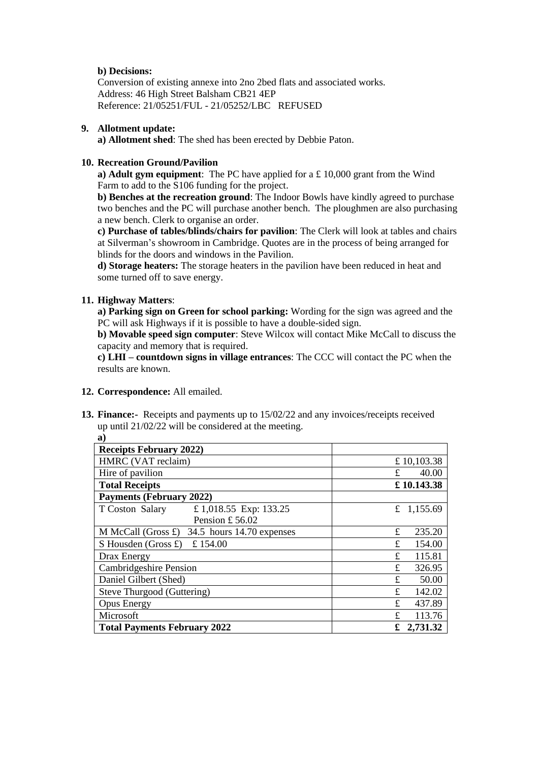# **b) Decisions:**

Conversion of existing annexe into 2no 2bed flats and associated works. Address: 46 High Street Balsham CB21 4EP Reference: 21/05251/FUL - 21/05252/LBC REFUSED

## **9. Allotment update:**

**a) Allotment shed**: The shed has been erected by Debbie Paton.

# **10. Recreation Ground/Pavilion**

**a) Adult gym equipment**: The PC have applied for a £ 10,000 grant from the Wind Farm to add to the S106 funding for the project.

**b) Benches at the recreation ground**: The Indoor Bowls have kindly agreed to purchase two benches and the PC will purchase another bench. The ploughmen are also purchasing a new bench. Clerk to organise an order.

**c) Purchase of tables/blinds/chairs for pavilion**: The Clerk will look at tables and chairs at Silverman's showroom in Cambridge. Quotes are in the process of being arranged for blinds for the doors and windows in the Pavilion.

**d) Storage heaters:** The storage heaters in the pavilion have been reduced in heat and some turned off to save energy.

# **11. Highway Matters**:

**a)**

**a) Parking sign on Green for school parking:** Wording for the sign was agreed and the PC will ask Highways if it is possible to have a double-sided sign.

**b) Movable speed sign computer**: Steve Wilcox will contact Mike McCall to discuss the capacity and memory that is required.

**c) LHI – countdown signs in village entrances**: The CCC will contact the PC when the results are known.

#### **12. Correspondence:** All emailed.

**13. Finance:-** Receipts and payments up to 15/02/22 and any invoices/receipts received up until 21/02/22 will be considered at the meeting.

| <b>Receipts February 2022)</b>                           |               |
|----------------------------------------------------------|---------------|
| HMRC (VAT reclaim)                                       | £10,103.38    |
| Hire of pavilion                                         | 40.00<br>£    |
| <b>Total Receipts</b>                                    | £10.143.38    |
| <b>Payments (February 2022)</b>                          |               |
| £ 1,018.55 Exp: 133.25<br>T Coston Salary                | £ 1,155.69    |
| Pension £56.02                                           |               |
| M McCall (Gross $\pounds$ )<br>34.5 hours 14.70 expenses | 235.20<br>£   |
| £154.00<br>S Housden (Gross $\pounds$ )                  | 154.00<br>£   |
| Drax Energy                                              | £<br>115.81   |
| Cambridgeshire Pension                                   | 326.95<br>£   |
| Daniel Gilbert (Shed)                                    | £<br>50.00    |
| Steve Thurgood (Guttering)                               | 142.02<br>£   |
| <b>Opus Energy</b>                                       | 437.89<br>£   |
| Microsoft                                                | 113.76<br>£   |
| <b>Total Payments February 2022</b>                      | 2,731.32<br>£ |